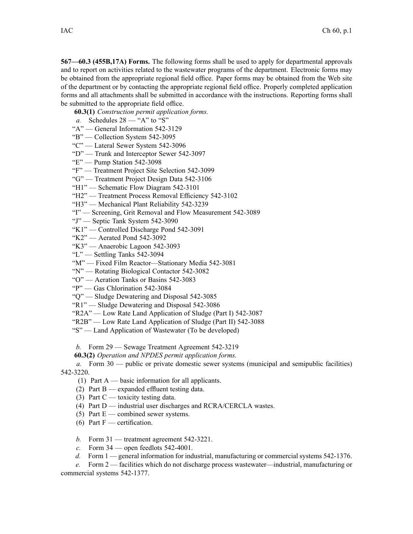**567—60.3 (455B,17A) Forms.** The following forms shall be used to apply for departmental approvals and to repor<sup>t</sup> on activities related to the wastewater programs of the department. Electronic forms may be obtained from the appropriate regional field office. Paper forms may be obtained from the Web site of the department or by contacting the appropriate regional field office. Properly completed application forms and all attachments shall be submitted in accordance with the instructions. Reporting forms shall be submitted to the appropriate field office.

**60.3(1)** *Construction permit application forms.*

- *a.* Schedules  $28 -$  "A" to "S"
- "A" General Information 542-3129
- "B" Collection System 542-3095
- "C" Lateral Sewer System 542-3096
- "D" Trunk and Interceptor Sewer 542-3097
- "E" Pump Station 542-3098
- "F" Treatment Project Site Selection 542-3099
- "G" Treatment Project Design Data 542-3106
- "H1" Schematic Flow Diagram 542-3101
- "H2" Treatment Process Removal Efficiency 542-3102
- "H3" Mechanical Plant Reliability 542-3239
- "I" Screening, Grit Removal and Flow Measurement 542-3089
- "J" Septic Tank System 542-3090
- "K1" Controlled Discharge Pond 542-3091
- "K2" Aerated Pond 542-3092
- "K3" Anaerobic Lagoon 542-3093
- "L" Settling Tanks 542-3094
- "M" Fixed Film Reactor—Stationary Media 542-3081
- "N" Rotating Biological Contactor 542-3082
- "O" Aeration Tanks or Basins 542-3083
- "P" Gas Chlorination 542-3084
- "Q" Sludge Dewatering and Disposal 542-3085
- "R1" Sludge Dewatering and Disposal 542-3086
- "R2A" Low Rate Land Application of Sludge (Part I) 542-3087
- "R2B" Low Rate Land Application of Sludge (Part II) 542-3088
- "S" Land Application of Wastewater (To be developed)
- *b.* Form 29 Sewage Treatment Agreement 542-3219
- **60.3(2)** *Operation and NPDES permit application forms.*

*a.* Form 30 — public or private domestic sewer systems (municipal and semipublic facilities) 542-3220.

- (1) Part  $A$  basic information for all applicants.
- (2) Part B expanded effluent testing data.
- (3) Part  $C$  toxicity testing data.
- (4) Part  $D$  industrial user discharges and RCRA/CERCLA wastes.
- (5) Part  $E$  combined sewer systems.
- (6) Part  $F$  certification.
- *b.* Form 31 treatment agreemen<sup>t</sup> 542-3221.
- *c.* Form 34 open feedlots 542-4001.
- *d.* Form 1 general information for industrial, manufacturing or commercial systems 542-1376.

*e.* Form 2 — facilities which do not discharge process wastewater—industrial, manufacturing or commercial systems 542-1377.